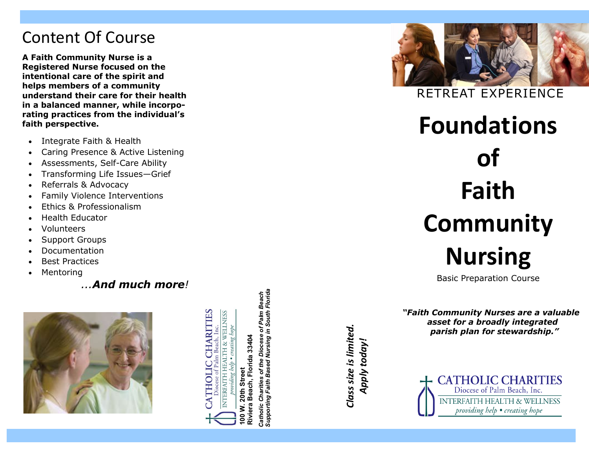## Content Of Course

**A Faith Community Nurse is a Registered Nurse focused on the intentional care of the spirit and helps members of a community understand their care for their health in a balanced manner, while incorporating practices from the individual's faith perspective.** 

- Integrate Faith & Health
- Caring Presence & Active Listening
- Assessments, Self-Care Ability
- Transforming Life Issues—Grief
- Referrals & Advocacy
- Family Violence Interventions
- Ethics & Professionalism
- Health Educator
- Volunteers
- Support Groups
- Documentation
- Best Practices
- Mentoring

 *...And much more !*



**HARITIES** NTERFAITH HEALTH & WELLNESS Inc. 20th Street **100 W. 20th Street** 00 W.

**Riviera Beach, Florida 33404**

Beach,

Riviera

lorida 33404

*Catholic Charities of the Diocese of Palm Beach Supporting Faith Based Nursing in South Florida*

Charities of the **Catholic Charities of the<br>Supporting Faith Based** 

Diocese of Palm Beach<br>Nursing in South Florida

Class size is limited. *Class size is limited.*

*Apply today!* 

Apply today



RETREAT EXPERIENC E

**Foundations of Faith Community Nursing**

Basic Preparation Course

*"Faith Community Nurses are a valuable asset for a broadly integrated parish plan for stewardship."*